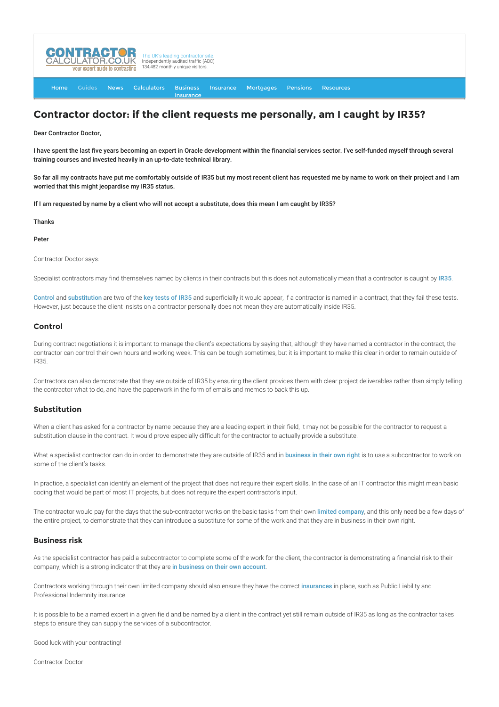

[Home](http://www.contractorcalculator.co.uk/) [Guides](http://www.contractorcalculator.co.uk/Articles.aspx) [News](http://www.contractorcalculator.co.uk/Contractor_News.aspx) [Calculators](http://www.contractorcalculator.co.uk/Calculators.aspx) Business [Insurance](http://www.contractorcalculator.co.uk/Contractor_Insurances.aspx) [Insurance](http://www.contractorcalculator.co.uk/Insurance.aspx) [Mortgages](http://www.contractorcalculator.co.uk/Contractor_Mortgages.aspx) [Pensions](http://www.contractorcalculator.co.uk/Contractor_Pensions.aspx) [Resources](http://www.contractorcalculator.co.uk/Contractor_Resources.aspx)

## **Contractor doctor: if the client requests me personally, am I caught by IR35?**

Dear Contractor Doctor,

I have spent the last five years becoming an expert in Oracle development within the financial services sector. I've self-funded myself through several training courses and invested heavily in an up-to-date technical library.

So far all my contracts have put me comfortably outside of IR35 but my most recent client has requested me by name to work on their project and I am worried that this might jeopardise my IR35 status.

If I am requested by name by a client who will not accept a substitute, does this mean I am caught by IR35?

Thanks

Peter

Contractor Doctor says:

Specialist contractors may find themselves named by clients in their contracts but this does not automatically mean that a contractor is caught by [IR35](http://www.contractorcalculator.co.uk/what_is_ir35.aspx).

[Control](http://www.contractorcalculator.co.uk/contractors_ir35_control.aspx) and [substitution](http://www.contractorcalculator.co.uk/contractors_right_of_substitution.aspx) are two of the [key tests of IR35](http://www.contractorcalculator.co.uk/ir35_contract_reasons_contractors_fail_ir35.aspx) and superficially it would appear, if a contractor is named in a contract, that they fail these tests. However, just because the client insists on a contractor personally does not mean they are automatically inside IR35.

## **Control**

During contract negotiations it is important to manage the client's expectations by saying that, although they have named a contractor in the contract, the contractor can control their own hours and working week. This can be tough sometimes, but it is important to make this clear in order to remain outside of IR35.

Contractors can also demonstrate that they are outside of IR35 by ensuring the client provides them with clear project deliverables rather than simply telling the contractor what to do, and have the paperwork in the form of emails and memos to back this up.

## **Substitution**

When a client has asked for a contractor by name because they are a leading expert in their field, it may not be possible for the contractor to request a substitution clause in the contract. It would prove especially difficult for the contractor to actually provide a substitute.

What a specialist contractor can do in order to demonstrate they are outside of IR35 and in [business in their own right](http://www.contractorcalculator.co.uk/being_in_business_your_account_contractors_ir35.aspx) is to use a subcontractor to work on some of the client's tasks.

In practice, a specialist can identify an element of the project that does not require their expert skills. In the case of an IT contractor this might mean basic coding that would be part of most IT projects, but does not require the expert contractor's input.

The contractor would pay for the days that the sub-contractor works on the basic tasks from their own [limited company](http://www.contractorcalculator.co.uk/limited_companies.aspx), and this only need be a few days of the entire project, to demonstrate that they can introduce a substitute for some of the work and that they are in business in their own right.

## **Business risk**

As the specialist contractor has paid a subcontractor to complete some of the work for the client, the contractor is demonstrating a financial risk to their company, which is a strong indicator that they are [in business on their own account](http://www.contractorcalculator.co.uk/being_in_business_your_account_contractors_ir35.aspx).

Contractors working through their own limited company should also ensure they have the correct [insurances](http://www.contractorcalculator.co.uk/contractor_insurances.aspx) in place, such as Public Liability and Professional Indemnity insurance.

It is possible to be a named expert in a given field and be named by a client in the contract yet still remain outside of IR35 as long as the contractor takes steps to ensure they can supply the services of a subcontractor.

Good luck with your contracting!

Contractor Doctor